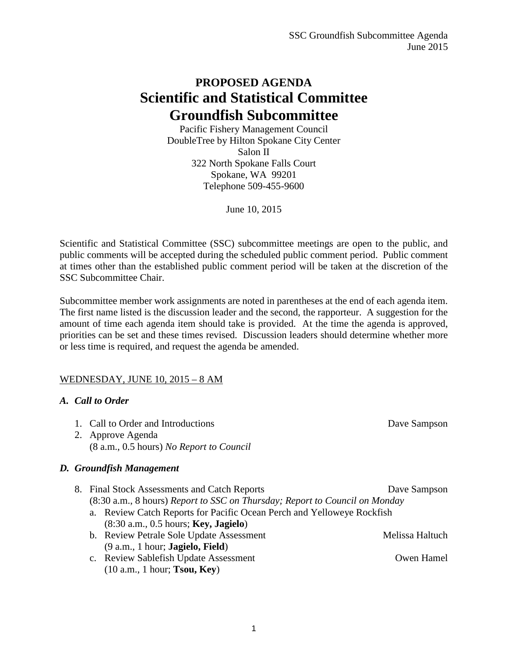## **PROPOSED AGENDA Scientific and Statistical Committee Groundfish Subcommittee**

Pacific Fishery Management Council DoubleTree by Hilton Spokane City Center Salon II 322 North Spokane Falls Court Spokane, WA 99201 Telephone 509-455-9600

June 10, 2015

Scientific and Statistical Committee (SSC) subcommittee meetings are open to the public, and public comments will be accepted during the scheduled public comment period. Public comment at times other than the established public comment period will be taken at the discretion of the SSC Subcommittee Chair.

Subcommittee member work assignments are noted in parentheses at the end of each agenda item. The first name listed is the discussion leader and the second, the rapporteur. A suggestion for the amount of time each agenda item should take is provided. At the time the agenda is approved, priorities can be set and these times revised. Discussion leaders should determine whether more or less time is required, and request the agenda be amended.

## WEDNESDAY, JUNE 10, 2015 – 8 AM

## *A. Call to Order*

|  |  | 2. Approve Agenda                                                           |                 |  |  |
|--|--|-----------------------------------------------------------------------------|-----------------|--|--|
|  |  | (8 a.m., 0.5 hours) No Report to Council                                    |                 |  |  |
|  |  | D. Groundfish Management                                                    |                 |  |  |
|  |  | 8. Final Stock Assessments and Catch Reports                                | Dave Sampson    |  |  |
|  |  | (8:30 a.m., 8 hours) Report to SSC on Thursday; Report to Council on Monday |                 |  |  |
|  |  | a. Review Catch Reports for Pacific Ocean Perch and Yelloweye Rockfish      |                 |  |  |
|  |  | $(8:30 \text{ a.m.}, 0.5 \text{ hours};$ Key, Jagielo)                      |                 |  |  |
|  |  | b. Review Petrale Sole Update Assessment                                    | Melissa Haltuch |  |  |
|  |  | $(9 a.m., 1 hour; Jagielo, Field)$                                          |                 |  |  |
|  |  | c. Review Sablefish Update Assessment                                       | Owen Hamel      |  |  |
|  |  | $(10 a.m., 1 hour;$ <b>Tsou, Key</b> )                                      |                 |  |  |

1. Call to Order and Introductions Dave Sampson